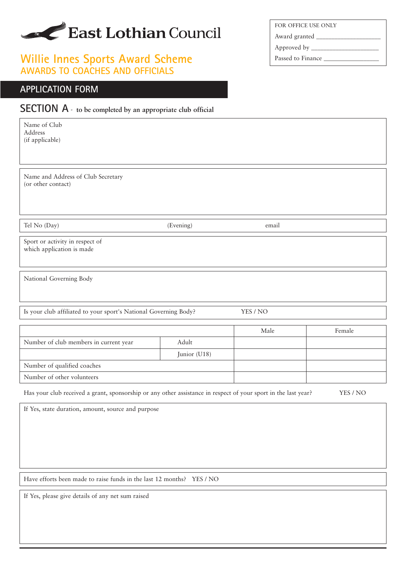# **East Lothian Council**

### **Willie Innes Sports Award Scheme AWARDS TO COACHES AND OFFICIALS**

#### **APPLICATION FORM**

## **SECTION A** - **to be completed by an appropriate club official**

| Name of Club<br>Address<br>(if applicable)                                                                     |              |       |          |
|----------------------------------------------------------------------------------------------------------------|--------------|-------|----------|
| Name and Address of Club Secretary<br>(or other contact)                                                       |              |       |          |
| Tel No (Day)                                                                                                   | (Evening)    | email |          |
| Sport or activity in respect of<br>which application is made                                                   |              |       |          |
| National Governing Body                                                                                        |              |       |          |
| Is your club affiliated to your sport's National Governing Body?<br>YES / NO                                   |              |       |          |
|                                                                                                                |              |       |          |
|                                                                                                                |              | Male  | Female   |
| Number of club members in current year                                                                         | Adult        |       |          |
|                                                                                                                | Junior (U18) |       |          |
| Number of qualified coaches                                                                                    |              |       |          |
| Number of other volunteers                                                                                     |              |       |          |
| Has your club received a grant, sponsorship or any other assistance in respect of your sport in the last year? |              |       | YES / NO |
| If Yes, state duration, amount, source and purpose                                                             |              |       |          |
| Have efforts been made to raise funds in the last 12 months? YES / NO                                          |              |       |          |

FOR OFFICE USE ONLY Award granted \_\_\_\_\_\_\_\_\_\_\_\_\_\_\_\_\_\_\_\_\_

Approved by \_\_\_\_\_\_\_\_\_\_\_\_\_\_\_\_\_\_\_\_\_\_

Passed to Finance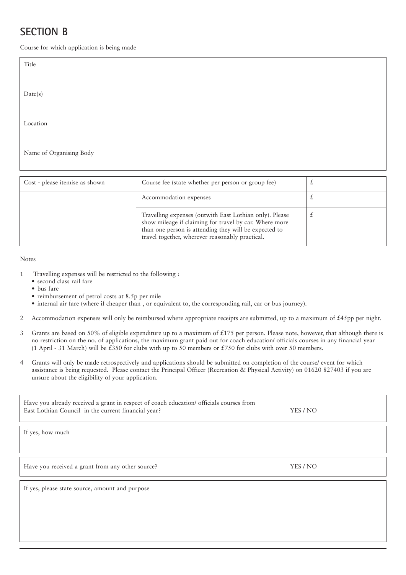## **SECTION B**

Course for which application is being made

| Title                          |                                                    |           |
|--------------------------------|----------------------------------------------------|-----------|
| Date(s)                        |                                                    |           |
| Location                       |                                                    |           |
| Name of Organising Body        |                                                    |           |
| Cost - please itemise as shown | Course fee (state whether per person or group fee) | $\pounds$ |
|                                |                                                    |           |
|                                | Accommodation expenses                             | $\pounds$ |
|                                |                                                    |           |

| <b>ACCOMMODIATION CAPENSES</b>                                                                                                                                                                                                | ∼ |
|-------------------------------------------------------------------------------------------------------------------------------------------------------------------------------------------------------------------------------|---|
| Travelling expenses (outwith East Lothian only). Please<br>show mileage if claiming for travel by car. Where more<br>than one person is attending they will be expected to<br>travel together, wherever reasonably practical. |   |

Notes

- 1 Travelling expenses will be restricted to the following :
	- second class rail fare
	- bus fare
	- reimbursement of petrol costs at 8.5p per mile
	- internal air fare (where if cheaper than , or equivalent to, the corresponding rail, car or bus journey).
- 2 Accommodation expenses will only be reimbursed where appropriate receipts are submitted, up to a maximum of £45pp per night.
- 3 Grants are based on 50% of eligible expenditure up to a maximum of £175 per person. Please note, however, that although there is no restriction on the no. of applications, the maximum grant paid out for coach education/ officials courses in any financial year (1 April - 31 March) will be £350 for clubs with up to 50 members or £750 for clubs with over 50 members.
- 4 Grants will only be made retrospectively and applications should be submitted on completion of the course/ event for which assistance is being requested. Please contact the Principal Officer (Recreation & Physical Activity) on 01620 827403 if you are unsure about the eligibility of your application.

| Have you already received a grant in respect of coach education/ officials courses from<br>East Lothian Council in the current financial year? | YES / NO |
|------------------------------------------------------------------------------------------------------------------------------------------------|----------|
| If yes, how much                                                                                                                               |          |
| Have you received a grant from any other source?                                                                                               | YES / NO |
| If yes, please state source, amount and purpose                                                                                                |          |